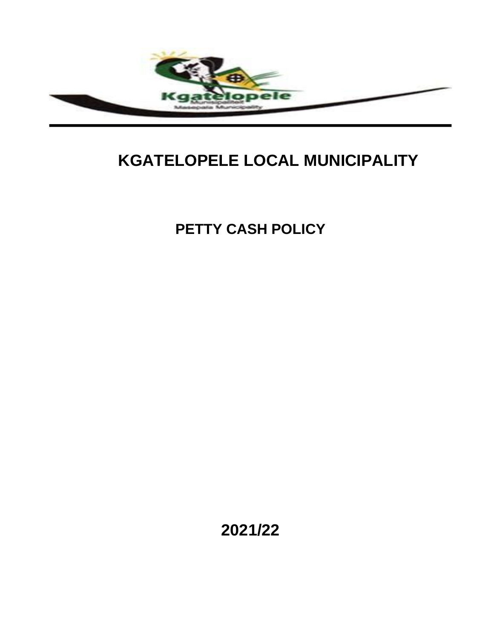

# **KGATELOPELE LOCAL MUNICIPALITY**

**PETTY CASH POLICY** 

**2021/22**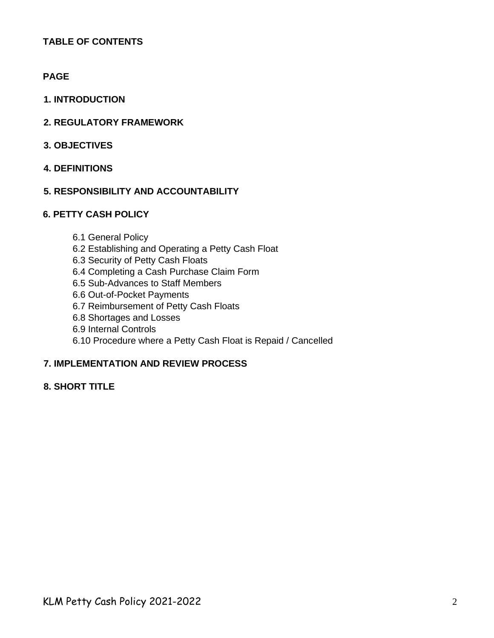# **TABLE OF CONTENTS**

# **PAGE**

- **1. INTRODUCTION**
- **2. REGULATORY FRAMEWORK**
- **3. OBJECTIVES**

#### **4. DEFINITIONS**

# **5. RESPONSIBILITY AND ACCOUNTABILITY**

# **6. PETTY CASH POLICY**

- 6.1 General Policy
- 6.2 Establishing and Operating a Petty Cash Float
- 6.3 Security of Petty Cash Floats
- 6.4 Completing a Cash Purchase Claim Form
- 6.5 Sub-Advances to Staff Members
- 6.6 Out-of-Pocket Payments
- 6.7 Reimbursement of Petty Cash Floats
- 6.8 Shortages and Losses
- 6.9 Internal Controls
- 6.10 Procedure where a Petty Cash Float is Repaid / Cancelled

# **7. IMPLEMENTATION AND REVIEW PROCESS**

# **8. SHORT TITLE**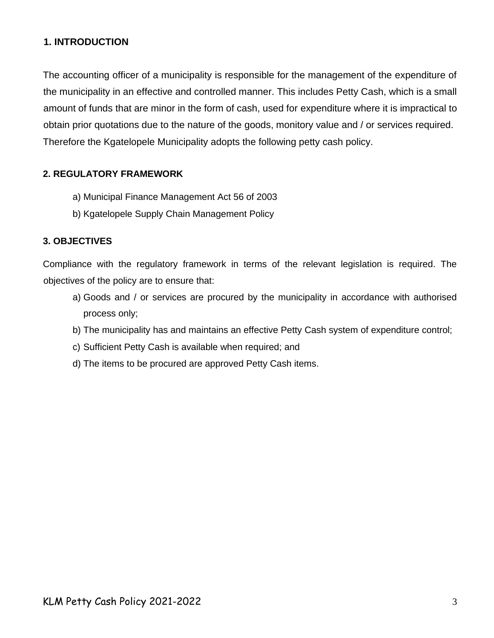# **1. INTRODUCTION**

The accounting officer of a municipality is responsible for the management of the expenditure of the municipality in an effective and controlled manner. This includes Petty Cash, which is a small amount of funds that are minor in the form of cash, used for expenditure where it is impractical to obtain prior quotations due to the nature of the goods, monitory value and / or services required. Therefore the Kgatelopele Municipality adopts the following petty cash policy.

# **2. REGULATORY FRAMEWORK**

- a) Municipal Finance Management Act 56 of 2003
- b) Kgatelopele Supply Chain Management Policy

#### **3. OBJECTIVES**

Compliance with the regulatory framework in terms of the relevant legislation is required. The objectives of the policy are to ensure that:

- a) Goods and / or services are procured by the municipality in accordance with authorised process only;
- b) The municipality has and maintains an effective Petty Cash system of expenditure control;
- c) Sufficient Petty Cash is available when required; and
- d) The items to be procured are approved Petty Cash items.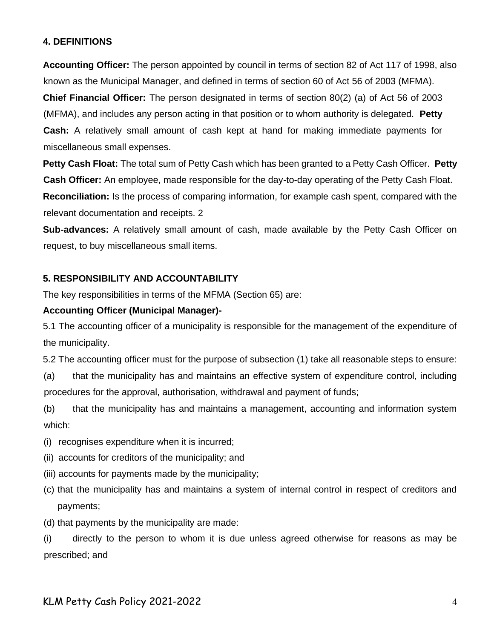#### **4. DEFINITIONS**

**Accounting Officer:** The person appointed by council in terms of section 82 of Act 117 of 1998, also known as the Municipal Manager, and defined in terms of section 60 of Act 56 of 2003 (MFMA). **Chief Financial Officer:** The person designated in terms of section 80(2) (a) of Act 56 of 2003 (MFMA), and includes any person acting in that position or to whom authority is delegated. **Petty Cash:** A relatively small amount of cash kept at hand for making immediate payments for miscellaneous small expenses.

**Petty Cash Float:** The total sum of Petty Cash which has been granted to a Petty Cash Officer. **Petty Cash Officer:** An employee, made responsible for the day-to-day operating of the Petty Cash Float. **Reconciliation:** Is the process of comparing information, for example cash spent, compared with the relevant documentation and receipts. 2

**Sub-advances:** A relatively small amount of cash, made available by the Petty Cash Officer on request, to buy miscellaneous small items.

#### **5. RESPONSIBILITY AND ACCOUNTABILITY**

The key responsibilities in terms of the MFMA (Section 65) are:

#### **Accounting Officer (Municipal Manager)-**

5.1 The accounting officer of a municipality is responsible for the management of the expenditure of the municipality.

5.2 The accounting officer must for the purpose of subsection (1) take all reasonable steps to ensure:

- (a) that the municipality has and maintains an effective system of expenditure control, including procedures for the approval, authorisation, withdrawal and payment of funds;
- (b) that the municipality has and maintains a management, accounting and information system which:
- (i) recognises expenditure when it is incurred;
- (ii) accounts for creditors of the municipality; and
- (iii) accounts for payments made by the municipality;
- (c) that the municipality has and maintains a system of internal control in respect of creditors and payments;
- (d) that payments by the municipality are made:

(i) directly to the person to whom it is due unless agreed otherwise for reasons as may be prescribed; and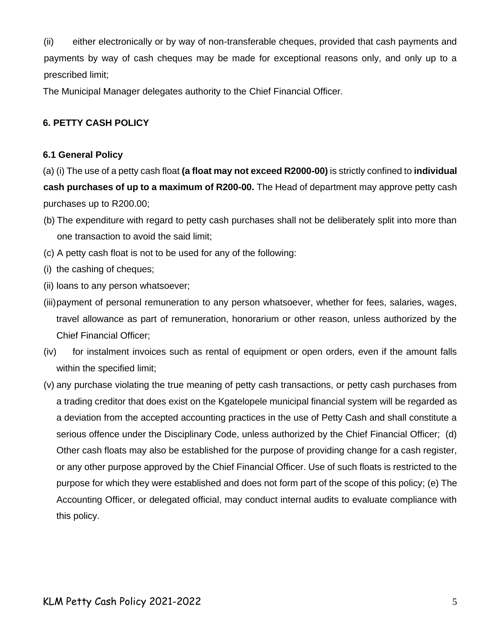(ii) either electronically or by way of non-transferable cheques, provided that cash payments and payments by way of cash cheques may be made for exceptional reasons only, and only up to a prescribed limit;

The Municipal Manager delegates authority to the Chief Financial Officer.

# **6. PETTY CASH POLICY**

#### **6.1 General Policy**

(a) (i) The use of a petty cash float **(a float may not exceed R2000-00)** is strictly confined to **individual cash purchases of up to a maximum of R200-00.** The Head of department may approve petty cash purchases up to R200.00;

- (b) The expenditure with regard to petty cash purchases shall not be deliberately split into more than one transaction to avoid the said limit;
- (c) A petty cash float is not to be used for any of the following:
- (i) the cashing of cheques;
- (ii) loans to any person whatsoever;
- (iii)payment of personal remuneration to any person whatsoever, whether for fees, salaries, wages, travel allowance as part of remuneration, honorarium or other reason, unless authorized by the Chief Financial Officer;
- (iv) for instalment invoices such as rental of equipment or open orders, even if the amount falls within the specified limit;
- (v) any purchase violating the true meaning of petty cash transactions, or petty cash purchases from a trading creditor that does exist on the Kgatelopele municipal financial system will be regarded as a deviation from the accepted accounting practices in the use of Petty Cash and shall constitute a serious offence under the Disciplinary Code, unless authorized by the Chief Financial Officer; (d) Other cash floats may also be established for the purpose of providing change for a cash register, or any other purpose approved by the Chief Financial Officer. Use of such floats is restricted to the purpose for which they were established and does not form part of the scope of this policy; (e) The Accounting Officer, or delegated official, may conduct internal audits to evaluate compliance with this policy.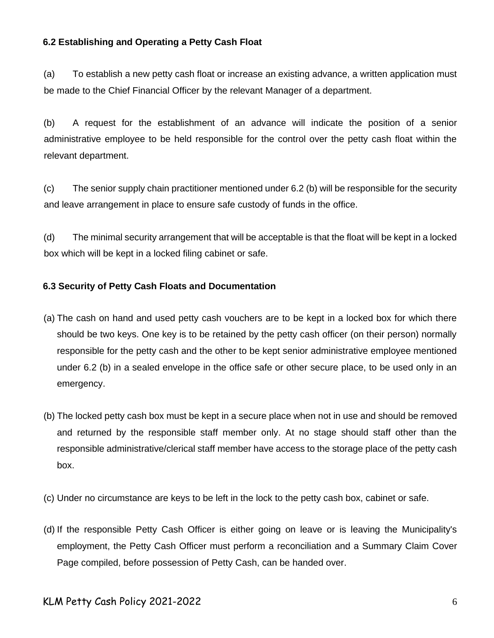# **6.2 Establishing and Operating a Petty Cash Float**

(a) To establish a new petty cash float or increase an existing advance, a written application must be made to the Chief Financial Officer by the relevant Manager of a department.

(b) A request for the establishment of an advance will indicate the position of a senior administrative employee to be held responsible for the control over the petty cash float within the relevant department.

(c) The senior supply chain practitioner mentioned under 6.2 (b) will be responsible for the security and leave arrangement in place to ensure safe custody of funds in the office.

(d) The minimal security arrangement that will be acceptable is that the float will be kept in a locked box which will be kept in a locked filing cabinet or safe.

#### **6.3 Security of Petty Cash Floats and Documentation**

- (a) The cash on hand and used petty cash vouchers are to be kept in a locked box for which there should be two keys. One key is to be retained by the petty cash officer (on their person) normally responsible for the petty cash and the other to be kept senior administrative employee mentioned under 6.2 (b) in a sealed envelope in the office safe or other secure place, to be used only in an emergency.
- (b) The locked petty cash box must be kept in a secure place when not in use and should be removed and returned by the responsible staff member only. At no stage should staff other than the responsible administrative/clerical staff member have access to the storage place of the petty cash box.
- (c) Under no circumstance are keys to be left in the lock to the petty cash box, cabinet or safe.
- (d) If the responsible Petty Cash Officer is either going on leave or is leaving the Municipality's employment, the Petty Cash Officer must perform a reconciliation and a Summary Claim Cover Page compiled, before possession of Petty Cash, can be handed over.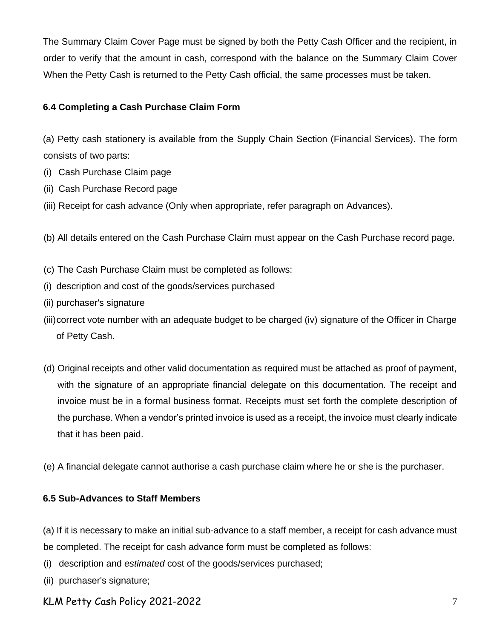The Summary Claim Cover Page must be signed by both the Petty Cash Officer and the recipient, in order to verify that the amount in cash, correspond with the balance on the Summary Claim Cover When the Petty Cash is returned to the Petty Cash official, the same processes must be taken.

# **6.4 Completing a Cash Purchase Claim Form**

(a) Petty cash stationery is available from the Supply Chain Section (Financial Services). The form consists of two parts:

- (i) Cash Purchase Claim page
- (ii) Cash Purchase Record page
- (iii) Receipt for cash advance (Only when appropriate, refer paragraph on Advances).
- (b) All details entered on the Cash Purchase Claim must appear on the Cash Purchase record page.
- (c) The Cash Purchase Claim must be completed as follows:
- (i) description and cost of the goods/services purchased
- (ii) purchaser's signature
- (iii)correct vote number with an adequate budget to be charged (iv) signature of the Officer in Charge of Petty Cash.
- (d) Original receipts and other valid documentation as required must be attached as proof of payment, with the signature of an appropriate financial delegate on this documentation. The receipt and invoice must be in a formal business format. Receipts must set forth the complete description of the purchase. When a vendor's printed invoice is used as a receipt, the invoice must clearly indicate that it has been paid.
- (e) A financial delegate cannot authorise a cash purchase claim where he or she is the purchaser.

#### **6.5 Sub-Advances to Staff Members**

(a) If it is necessary to make an initial sub-advance to a staff member, a receipt for cash advance must be completed. The receipt for cash advance form must be completed as follows:

- (i) description and *estimated* cost of the goods/services purchased;
- (ii) purchaser's signature;

# KLM Petty Cash Policy 2021-2022 7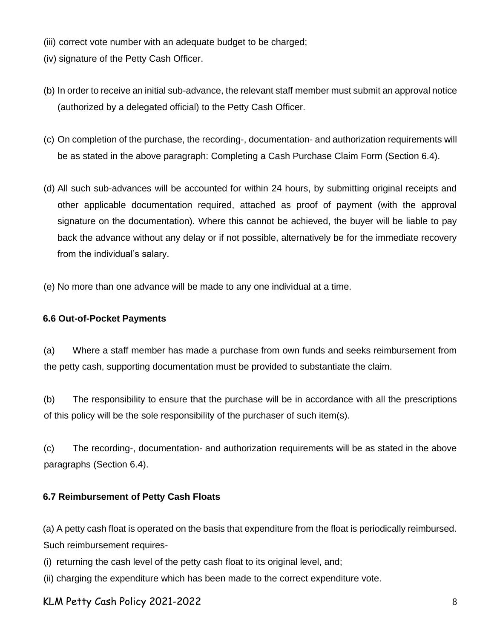- (iii) correct vote number with an adequate budget to be charged;
- (iv) signature of the Petty Cash Officer.
- (b) In order to receive an initial sub-advance, the relevant staff member must submit an approval notice (authorized by a delegated official) to the Petty Cash Officer.
- (c) On completion of the purchase, the recording-, documentation- and authorization requirements will be as stated in the above paragraph: Completing a Cash Purchase Claim Form (Section 6.4).
- (d) All such sub-advances will be accounted for within 24 hours, by submitting original receipts and other applicable documentation required, attached as proof of payment (with the approval signature on the documentation). Where this cannot be achieved, the buyer will be liable to pay back the advance without any delay or if not possible, alternatively be for the immediate recovery from the individual's salary.
- (e) No more than one advance will be made to any one individual at a time.

## **6.6 Out-of-Pocket Payments**

(a) Where a staff member has made a purchase from own funds and seeks reimbursement from the petty cash, supporting documentation must be provided to substantiate the claim.

(b) The responsibility to ensure that the purchase will be in accordance with all the prescriptions of this policy will be the sole responsibility of the purchaser of such item(s).

(c) The recording-, documentation- and authorization requirements will be as stated in the above paragraphs (Section 6.4).

#### **6.7 Reimbursement of Petty Cash Floats**

(a) A petty cash float is operated on the basis that expenditure from the float is periodically reimbursed. Such reimbursement requires-

- (i) returning the cash level of the petty cash float to its original level, and;
- (ii) charging the expenditure which has been made to the correct expenditure vote.

# KLM Petty Cash Policy 2021-2022 8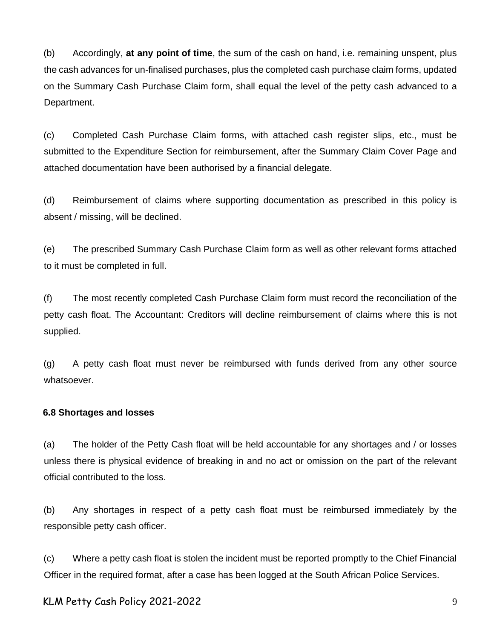(b) Accordingly, **at any point of time**, the sum of the cash on hand, i.e. remaining unspent, plus the cash advances for un-finalised purchases, plus the completed cash purchase claim forms, updated on the Summary Cash Purchase Claim form, shall equal the level of the petty cash advanced to a Department.

(c) Completed Cash Purchase Claim forms, with attached cash register slips, etc., must be submitted to the Expenditure Section for reimbursement, after the Summary Claim Cover Page and attached documentation have been authorised by a financial delegate.

(d) Reimbursement of claims where supporting documentation as prescribed in this policy is absent / missing, will be declined.

(e) The prescribed Summary Cash Purchase Claim form as well as other relevant forms attached to it must be completed in full.

(f) The most recently completed Cash Purchase Claim form must record the reconciliation of the petty cash float. The Accountant: Creditors will decline reimbursement of claims where this is not supplied.

(g) A petty cash float must never be reimbursed with funds derived from any other source whatsoever.

#### **6.8 Shortages and losses**

(a) The holder of the Petty Cash float will be held accountable for any shortages and / or losses unless there is physical evidence of breaking in and no act or omission on the part of the relevant official contributed to the loss.

(b) Any shortages in respect of a petty cash float must be reimbursed immediately by the responsible petty cash officer.

(c) Where a petty cash float is stolen the incident must be reported promptly to the Chief Financial Officer in the required format, after a case has been logged at the South African Police Services.

# KLM Petty Cash Policy 2021-2022 9